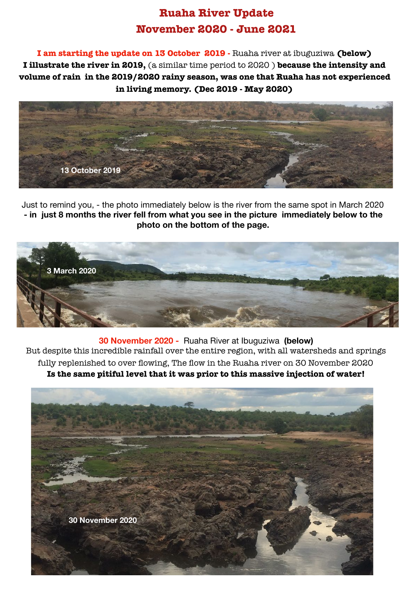# **Ruaha River Update November 2020 - June 2021**

**I am starting the update on 13 October 2019 -** Ruaha river at ibuguziwa **(below) I illustrate the river in 2019,** (a similar time period to 2020 ) **because the intensity and volume of rain in the 2019/2020 rainy season, was one that Ruaha has not experienced in living memory. (Dec 2019 - May 2020)**



Just to remind you, - the photo immediately below is the river from the same spot in March 2020 **- in just 8 months the river fell from what you see in the picture immediately below to the photo on the bottom of the page.**



**30 November 2020 -** Ruaha River at Ibuguziwa **(below)** But despite this incredible rainfall over the entire region, with all watersheds and springs fully replenished to over flowing, The flow in the Ruaha river on 30 November 2020 **Is the same pitiful level that it was prior to this massive injection of water!**

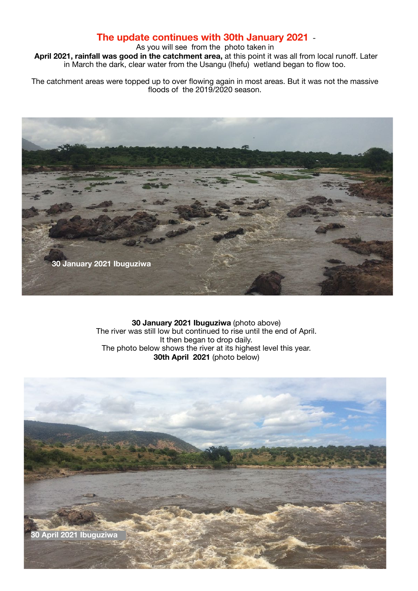### **The update continues with 30th January 2021** -

As you will see from the photo taken in

 **April 2021, rainfall was good in the catchment area,** at this point it was all from local runoff. Later in March the dark, clear water from the Usangu (Ihefu) wetland began to flow too.

The catchment areas were topped up to over flowing again in most areas. But it was not the massive floods of the 2019/2020 season.



**30 January 2021 Ibuguziwa** (photo above) The river was still low but continued to rise until the end of April. It then began to drop daily. The photo below shows the river at its highest level this year. **30th April 2021** (photo below)

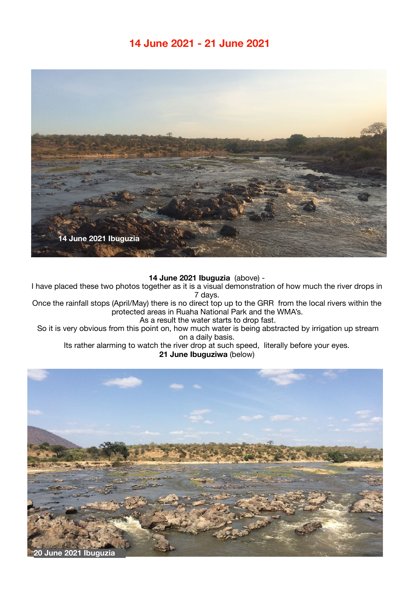# **14 June 2021 - 21 June 2021**



**14 June 2021 Ibuguzia** (above) -

I have placed these two photos together as it is a visual demonstration of how much the river drops in 7 days.

Once the rainfall stops (April/May) there is no direct top up to the GRR from the local rivers within the protected areas in Ruaha National Park and the WMA's.

As a result the water starts to drop fast.

So it is very obvious from this point on, how much water is being abstracted by irrigation up stream on a daily basis.

Its rather alarming to watch the river drop at such speed, literally before your eyes.

**21 June Ibuguziwa** (below)

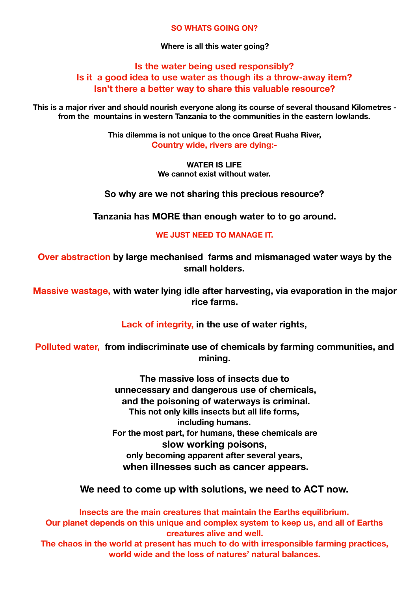#### **SO WHATS GOING ON?**

**Where is all this water going?** 

#### **Is the water being used responsibly? Is it a good idea to use water as though its a throw-away item? Isn't there a better way to share this valuable resource?**

**This is a major river and should nourish everyone along its course of several thousand Kilometres from the mountains in western Tanzania to the communities in the eastern lowlands.** 

> **This dilemma is not unique to the once Great Ruaha River, Country wide, rivers are dying:-**

> > **WATER IS LIFE We cannot exist without water.**

**So why are we not sharing this precious resource?** 

**Tanzania has MORE than enough water to to go around.** 

**WE JUST NEED TO MANAGE IT.** 

**Over abstraction by large mechanised farms and mismanaged water ways by the small holders.** 

**Massive wastage, with water lying idle after harvesting, via evaporation in the major rice farms.** 

**Lack of integrity, in the use of water rights,** 

**Polluted water, from indiscriminate use of chemicals by farming communities, and mining.** 

> **The massive loss of insects due to unnecessary and dangerous use of chemicals, and the poisoning of waterways is criminal. This not only kills insects but all life forms, including humans. For the most part, for humans, these chemicals are slow working poisons, only becoming apparent after several years, when illnesses such as cancer appears.**

**We need to come up with solutions, we need to ACT now.** 

**Insects are the main creatures that maintain the Earths equilibrium. Our planet depends on this unique and complex system to keep us, and all of Earths creatures alive and well. The chaos in the world at present has much to do with irresponsible farming practices, world wide and the loss of natures' natural balances.**